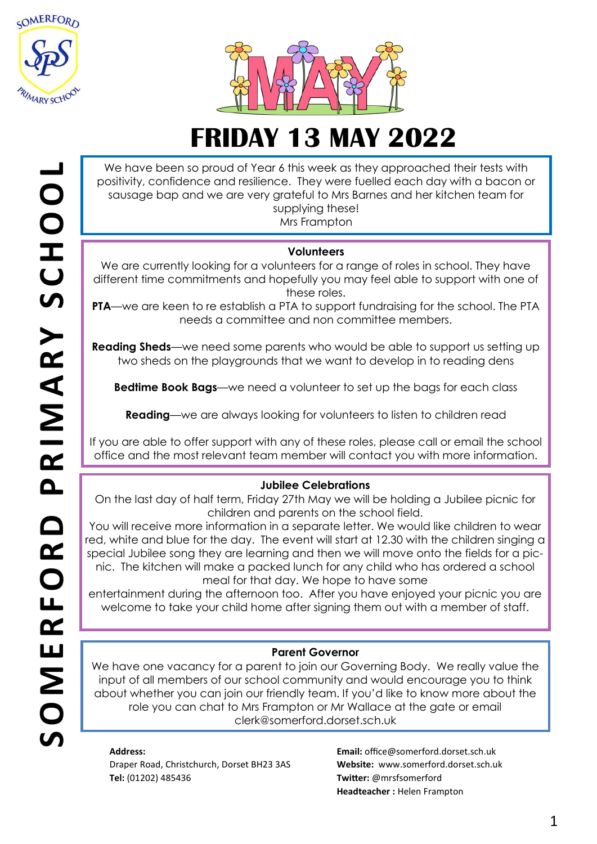



We have been so proud of Year 6 this week as they approached their tests with positivity, confidence and resilience. They were fuelled each day with a bacon or sausage bap and we are very grateful to Mrs Barnes and her kitchen team for supplying these!

Mrs Frampton

### **Volunteers**

We are currently looking for a volunteers for a range of roles in school. They have different time commitments and hopefully you may feel able to support with one of these roles.

**PTA**—we are keen to re establish a PTA to support fundraising for the school. The PTA needs a committee and non committee members.

**Reading Sheds**—we need some parents who would be able to support us setting up two sheds on the playgrounds that we want to develop in to reading dens

**Bedtime Book Bags**—we need a volunteer to set up the bags for each class

**Reading**—we are always looking for volunteers to listen to children read

If you are able to offer support with any of these roles, please call or email the school office and the most relevant team member will contact you with more information.

### **Jubilee Celebrations**

On the last day of half term, Friday 27th May we will be holding a Jubilee picnic for children and parents on the school field.

You will receive more information in a separate letter. We would like children to wear red, white and blue for the day. The event will start at 12.30 with the children singing a special Jubilee song they are learning and then we will move onto the fields for a picnic. The kitchen will make a packed lunch for any child who has ordered a school meal for that day. We hope to have some

entertainment during the afternoon too. After you have enjoyed your picnic you are welcome to take your child home after signing them out with a member of staff.

### **Parent Governor**

We have one vacancy for a parent to join our Governing Body. We really value the input of all members of our school community and would encourage you to think about whether you can join our friendly team. If you'd like to know more about the role you can chat to Mrs Frampton or Mr Wallace at the gate or email clerk@somerford.dorset.sch.uk

#### **Address:**

Draper Road, Christchurch, Dorset BH23 3AS **Tel:** (01202) 485436

**Email:** office@somerford.dorset.sch.uk **Website:** www.somerford.dorset.sch.uk **Twitter:** @mrsfsomerford **Headteacher :** Helen Frampton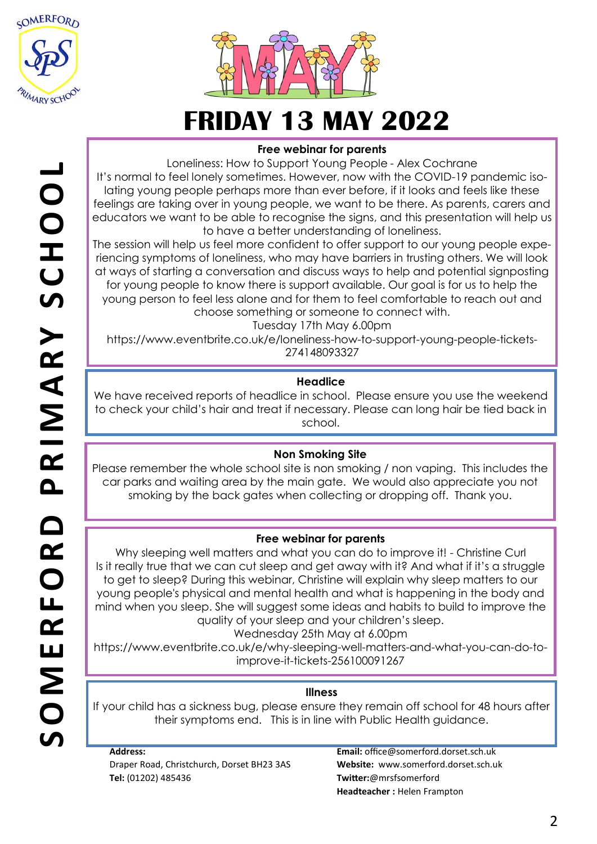



## **Free webinar for parents**

Loneliness: How to Support Young People - Alex Cochrane It's normal to feel lonely sometimes. However, now with the COVID-19 pandemic isolating young people perhaps more than ever before, if it looks and feels like these feelings are taking over in young people, we want to be there. As parents, carers and educators we want to be able to recognise the signs, and this presentation will help us to have a better understanding of loneliness.

The session will help us feel more confident to offer support to our young people experiencing symptoms of loneliness, who may have barriers in trusting others. We will look at ways of starting a conversation and discuss ways to help and potential signposting for young people to know there is support available. Our goal is for us to help the young person to feel less alone and for them to feel comfortable to reach out and choose something or someone to connect with.

Tuesday 17th May 6.00pm

https://www.eventbrite.co.uk/e/loneliness-how-to-support-young-people-tickets-274148093327

## **Headlice**

We have received reports of headlice in school. Please ensure you use the weekend to check your child's hair and treat if necessary. Please can long hair be tied back in school.

### **Non Smoking Site**

Please remember the whole school site is non smoking / non vaping. This includes the car parks and waiting area by the main gate. We would also appreciate you not smoking by the back gates when collecting or dropping off. Thank you.

### **Free webinar for parents**

Why sleeping well matters and what you can do to improve it! - Christine Curl Is it really true that we can cut sleep and get away with it? And what if it's a struggle to get to sleep? During this webinar, Christine will explain why sleep matters to our young people's physical and mental health and what is happening in the body and mind when you sleep. She will suggest some ideas and habits to build to improve the quality of your sleep and your children's sleep.

Wednesday 25th May at 6.00pm

https://www.eventbrite.co.uk/e/why-sleeping-well-matters-and-what-you-can-do-toimprove-it-tickets-256100091267

### **Illness**

If your child has a sickness bug, please ensure they remain off school for 48 hours after their symptoms end. This is in line with Public Health guidance.

**Address:**  Draper Road, Christchurch, Dorset BH23 3AS **Tel:** (01202) 485436

**Email:** office@somerford.dorset.sch.uk **Website:** www.somerford.dorset.sch.uk **Twitter:**@mrsfsomerford **Headteacher :** Helen Frampton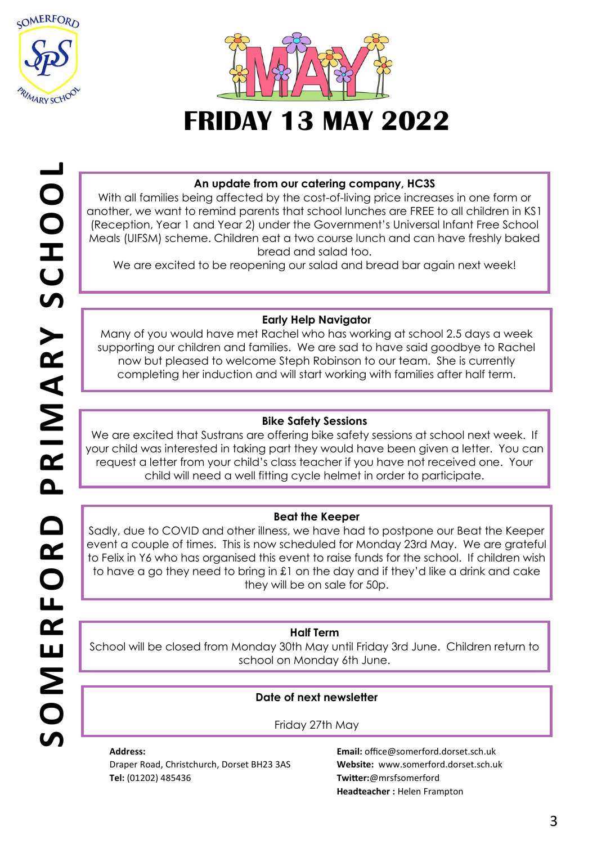



### **An update from our catering company, HC3S**

With all families being affected by the cost-of-living price increases in one form or another, we want to remind parents that school lunches are FREE to all children in KS1 (Reception, Year 1 and Year 2) under the Government's Universal Infant Free School Meals (UIFSM) scheme. Children eat a two course lunch and can have freshly baked bread and salad too.

We are excited to be reopening our salad and bread bar again next week!

### **Early Help Navigator**

Many of you would have met Rachel who has working at school 2.5 days a week supporting our children and families. We are sad to have said goodbye to Rachel now but pleased to welcome Steph Robinson to our team. She is currently completing her induction and will start working with families after half term.

## **Bike Safety Sessions**

We are excited that Sustrans are offering bike safety sessions at school next week. If your child was interested in taking part they would have been given a letter. You can request a letter from your child's class teacher if you have not received one. Your child will need a well fitting cycle helmet in order to participate.

### **Beat the Keeper**

Sadly, due to COVID and other illness, we have had to postpone our Beat the Keeper event a couple of times. This is now scheduled for Monday 23rd May. We are grateful to Felix in Y6 who has organised this event to raise funds for the school. If children wish to have a go they need to bring in £1 on the day and if they'd like a drink and cake they will be on sale for 50p.

### **Half Term**

School will be closed from Monday 30th May until Friday 3rd June. Children return to school on Monday 6th June.

### **Date of next newsletter**

### Friday 27th May

**Address:**  Draper Road, Christchurch, Dorset BH23 3AS **Tel:** (01202) 485436

**Email:** office@somerford.dorset.sch.uk **Website:** www.somerford.dorset.sch.uk **Twitter:**@mrsfsomerford **Headteacher :** Helen Frampton